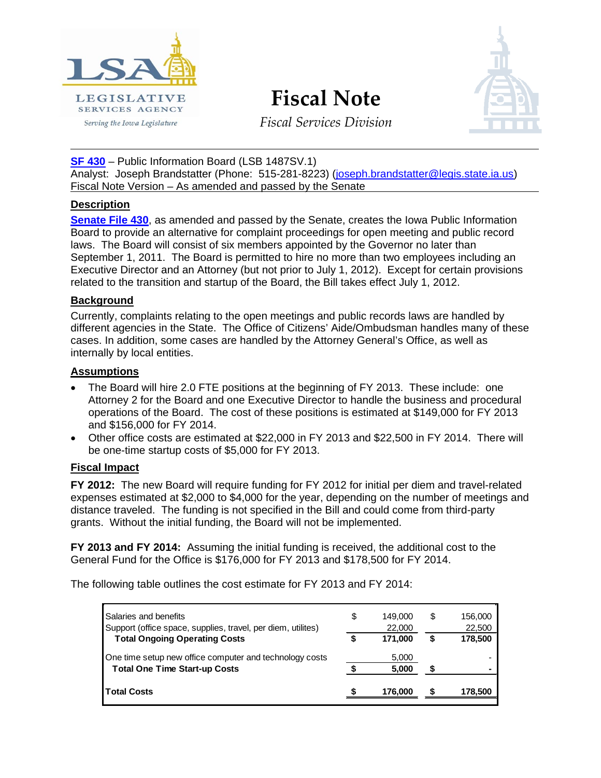

**Fiscal Note**



*Fiscal Services Division*

**[SF 430](http://coolice.legis.state.ia.us/Cool-ICE/default.asp?Category=billinfo&Service=Billbook&frame=1&GA=84&hbill=SF%20430)** – Public Information Board (LSB 1487SV.1) Analyst: Joseph Brandstatter (Phone: 515-281-8223) [\(joseph.brandstatter@legis.state.ia.us\)](mailto:joseph.brandstatter@legis.state.ia.us) Fiscal Note Version – As amended and passed by the Senate

# **Description**

**[Senate File 430](http://coolice.legis.state.ia.us/Cool-ICE/default.asp?Category=billinfo&Service=Billbook&frame=1&GA=84&hbill=SF%20430)**, as amended and passed by the Senate, creates the Iowa Public Information Board to provide an alternative for complaint proceedings for open meeting and public record laws. The Board will consist of six members appointed by the Governor no later than September 1, 2011. The Board is permitted to hire no more than two employees including an Executive Director and an Attorney (but not prior to July 1, 2012). Except for certain provisions related to the transition and startup of the Board, the Bill takes effect July 1, 2012.

## **Background**

Currently, complaints relating to the open meetings and public records laws are handled by different agencies in the State. The Office of Citizens' Aide/Ombudsman handles many of these cases. In addition, some cases are handled by the Attorney General's Office, as well as internally by local entities.

## **Assumptions**

- The Board will hire 2.0 FTE positions at the beginning of FY 2013. These include: one Attorney 2 for the Board and one Executive Director to handle the business and procedural operations of the Board. The cost of these positions is estimated at \$149,000 for FY 2013 and \$156,000 for FY 2014.
- Other office costs are estimated at \$22,000 in FY 2013 and \$22,500 in FY 2014. There will be one-time startup costs of \$5,000 for FY 2013.

# **Fiscal Impact**

**FY 2012:** The new Board will require funding for FY 2012 for initial per diem and travel-related expenses estimated at \$2,000 to \$4,000 for the year, depending on the number of meetings and distance traveled. The funding is not specified in the Bill and could come from third-party grants. Without the initial funding, the Board will not be implemented.

**FY 2013 and FY 2014:** Assuming the initial funding is received, the additional cost to the General Fund for the Office is \$176,000 for FY 2013 and \$178,500 for FY 2014.

The following table outlines the cost estimate for FY 2013 and FY 2014:

| Salaries and benefits                                        | \$<br>149.000 | \$<br>156,000 |
|--------------------------------------------------------------|---------------|---------------|
| Support (office space, supplies, travel, per diem, utilites) | 22,000        | 22,500        |
| <b>Total Ongoing Operating Costs</b>                         | 171.000       | 178,500       |
| One time setup new office computer and technology costs      | 5,000         |               |
| <b>Total One Time Start-up Costs</b>                         | 5.000         |               |
| <b>Total Costs</b>                                           | 176,000       | 178,500       |